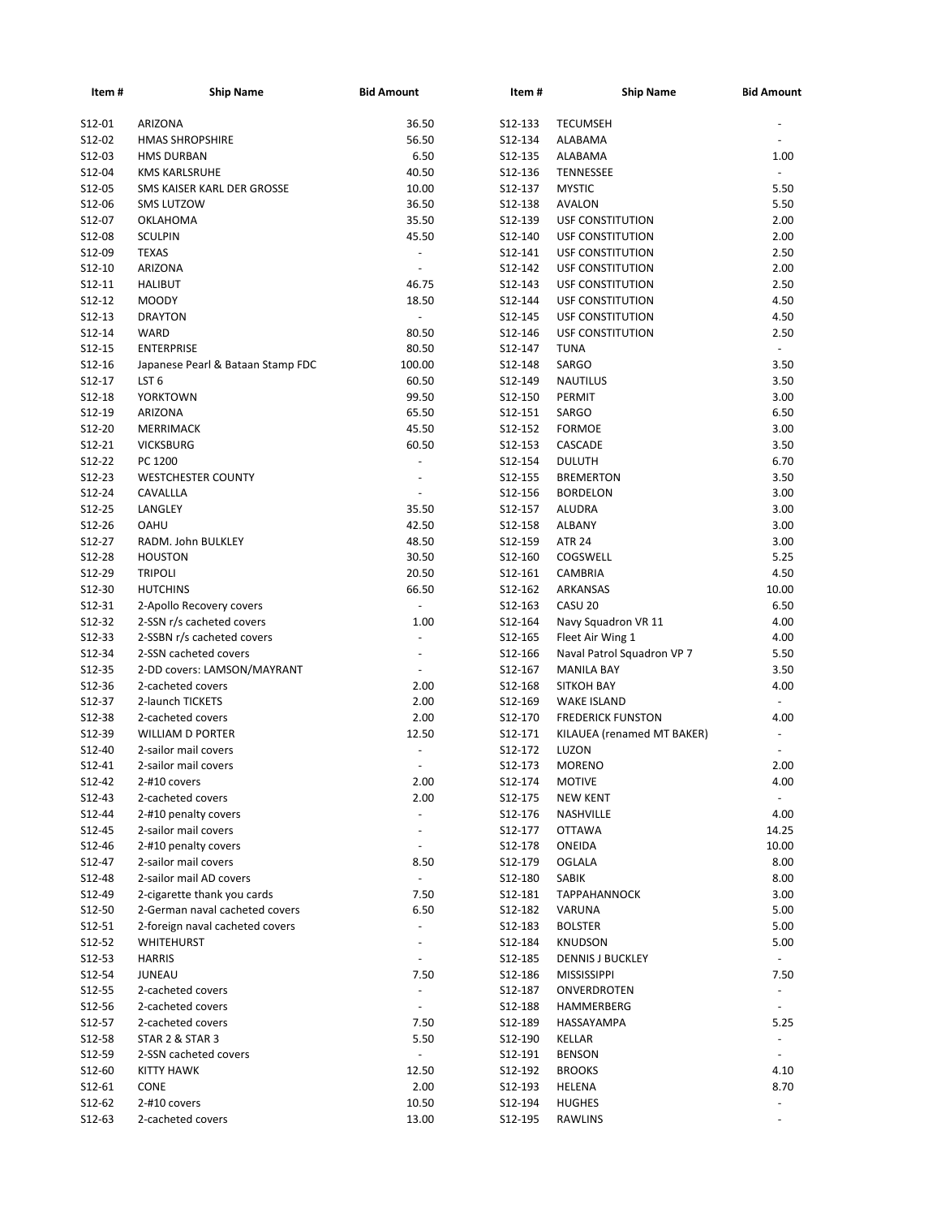| Item #   | <b>Ship Name</b>                  | <b>Bid Amount</b>        | Item#   | <b>Ship Name</b>           | <b>Bid Amount</b>        |
|----------|-----------------------------------|--------------------------|---------|----------------------------|--------------------------|
| S12-01   | ARIZONA                           | 36.50                    | S12-133 | <b>TECUMSEH</b>            |                          |
| S12-02   | <b>HMAS SHROPSHIRE</b>            | 56.50                    | S12-134 | ALABAMA                    |                          |
| S12-03   | <b>HMS DURBAN</b>                 | 6.50                     | S12-135 | ALABAMA                    | 1.00                     |
| S12-04   | <b>KMS KARLSRUHE</b>              | 40.50                    | S12-136 | TENNESSEE                  |                          |
| S12-05   | SMS KAISER KARL DER GROSSE        | 10.00                    | S12-137 | <b>MYSTIC</b>              | 5.50                     |
| S12-06   | <b>SMS LUTZOW</b>                 | 36.50                    | S12-138 | <b>AVALON</b>              | 5.50                     |
| S12-07   | OKLAHOMA                          | 35.50                    | S12-139 | USF CONSTITUTION           | 2.00                     |
| S12-08   | <b>SCULPIN</b>                    | 45.50                    | S12-140 | <b>USF CONSTITUTION</b>    | 2.00                     |
| S12-09   | <b>TEXAS</b>                      |                          | S12-141 | USF CONSTITUTION           | 2.50                     |
| S12-10   | ARIZONA                           | ä,                       | S12-142 | USF CONSTITUTION           | 2.00                     |
| S12-11   | <b>HALIBUT</b>                    | 46.75                    | S12-143 | <b>USF CONSTITUTION</b>    | 2.50                     |
| S12-12   | <b>MOODY</b>                      | 18.50                    | S12-144 | USF CONSTITUTION           | 4.50                     |
| S12-13   | <b>DRAYTON</b>                    | L.                       | S12-145 | <b>USF CONSTITUTION</b>    | 4.50                     |
| S12-14   | <b>WARD</b>                       | 80.50                    | S12-146 | <b>USF CONSTITUTION</b>    | 2.50                     |
| S12-15   | <b>ENTERPRISE</b>                 | 80.50                    | S12-147 | <b>TUNA</b>                | $\blacksquare$           |
|          |                                   |                          |         |                            | 3.50                     |
| S12-16   | Japanese Pearl & Bataan Stamp FDC | 100.00                   | S12-148 | SARGO                      |                          |
| S12-17   | LST <sub>6</sub>                  | 60.50                    | S12-149 | <b>NAUTILUS</b>            | 3.50                     |
| S12-18   | <b>YORKTOWN</b>                   | 99.50                    | S12-150 | PERMIT                     | 3.00                     |
| S12-19   | ARIZONA                           | 65.50                    | S12-151 | SARGO                      | 6.50                     |
| S12-20   | MERRIMACK                         | 45.50                    | S12-152 | <b>FORMOE</b>              | 3.00                     |
| S12-21   | <b>VICKSBURG</b>                  | 60.50                    | S12-153 | CASCADE                    | 3.50                     |
| S12-22   | PC 1200                           | $\blacksquare$           | S12-154 | <b>DULUTH</b>              | 6.70                     |
| $S12-23$ | <b>WESTCHESTER COUNTY</b>         | $\overline{\phantom{a}}$ | S12-155 | <b>BREMERTON</b>           | 3.50                     |
| S12-24   | CAVALLLA                          | L.                       | S12-156 | <b>BORDELON</b>            | 3.00                     |
| S12-25   | LANGLEY                           | 35.50                    | S12-157 | ALUDRA                     | 3.00                     |
| $S12-26$ | <b>OAHU</b>                       | 42.50                    | S12-158 | ALBANY                     | 3.00                     |
| S12-27   | RADM. John BULKLEY                | 48.50                    | S12-159 | <b>ATR 24</b>              | 3.00                     |
| S12-28   | <b>HOUSTON</b>                    | 30.50                    | S12-160 | COGSWELL                   | 5.25                     |
| S12-29   | <b>TRIPOLI</b>                    | 20.50                    | S12-161 | CAMBRIA                    | 4.50                     |
| S12-30   | <b>HUTCHINS</b>                   | 66.50                    | S12-162 | ARKANSAS                   | 10.00                    |
| S12-31   | 2-Apollo Recovery covers          | $\blacksquare$           | S12-163 | CASU 20                    | 6.50                     |
| S12-32   | 2-SSN r/s cacheted covers         | 1.00                     | S12-164 | Navy Squadron VR 11        | 4.00                     |
| S12-33   | 2-SSBN r/s cacheted covers        | ä,                       | S12-165 | Fleet Air Wing 1           | 4.00                     |
| S12-34   | 2-SSN cacheted covers             | ÷,                       | S12-166 | Naval Patrol Squadron VP 7 | 5.50                     |
| S12-35   | 2-DD covers: LAMSON/MAYRANT       | $\blacksquare$           | S12-167 | <b>MANILA BAY</b>          | 3.50                     |
| S12-36   | 2-cacheted covers                 | 2.00                     | S12-168 | <b>SITKOH BAY</b>          | 4.00                     |
| S12-37   | 2-launch TICKETS                  | 2.00                     | S12-169 | <b>WAKE ISLAND</b>         |                          |
| S12-38   | 2-cacheted covers                 | 2.00                     | S12-170 | <b>FREDERICK FUNSTON</b>   | 4.00                     |
| S12-39   | <b>WILLIAM D PORTER</b>           | 12.50                    | S12-171 | KILAUEA (renamed MT BAKER) |                          |
| S12-40   | 2-sailor mail covers              |                          | S12-172 | LUZON                      |                          |
| S12-41   | 2-sailor mail covers              | L.                       | S12-173 | <b>MORENO</b>              | 2.00                     |
| S12-42   | 2-#10 covers                      | 2.00                     | S12-174 | <b>MOTIVE</b>              | 4.00                     |
| S12-43   | 2-cacheted covers                 | 2.00                     | S12-175 | <b>NEW KENT</b>            |                          |
|          | 2-#10 penalty covers              |                          |         |                            |                          |
| S12-44   |                                   | ä,                       | S12-176 | NASHVILLE                  | 4.00                     |
| S12-45   | 2-sailor mail covers              |                          | S12-177 | <b>OTTAWA</b>              | 14.25                    |
| S12-46   | 2-#10 penalty covers              | $\frac{1}{2}$            | S12-178 | ONEIDA                     | 10.00                    |
| S12-47   | 2-sailor mail covers              | 8.50                     | S12-179 | OGLALA                     | 8.00                     |
| S12-48   | 2-sailor mail AD covers           | $\sim$                   | S12-180 | SABIK                      | 8.00                     |
| S12-49   | 2-cigarette thank you cards       | 7.50                     | S12-181 | <b>TAPPAHANNOCK</b>        | 3.00                     |
| S12-50   | 2-German naval cacheted covers    | 6.50                     | S12-182 | VARUNA                     | 5.00                     |
| S12-51   | 2-foreign naval cacheted covers   | $\frac{1}{2}$            | S12-183 | <b>BOLSTER</b>             | 5.00                     |
| S12-52   | WHITEHURST                        | ä,                       | S12-184 | <b>KNUDSON</b>             | 5.00                     |
| S12-53   | <b>HARRIS</b>                     | ÷,                       | S12-185 | <b>DENNIS J BUCKLEY</b>    | $\overline{\phantom{0}}$ |
| S12-54   | JUNEAU                            | 7.50                     | S12-186 | <b>MISSISSIPPI</b>         | 7.50                     |
| S12-55   | 2-cacheted covers                 | ÷,                       | S12-187 | ONVERDROTEN                |                          |
| S12-56   | 2-cacheted covers                 | $\blacksquare$           | S12-188 | HAMMERBERG                 | $\overline{\phantom{a}}$ |
| S12-57   | 2-cacheted covers                 | 7.50                     | S12-189 | HASSAYAMPA                 | 5.25                     |
| S12-58   | STAR 2 & STAR 3                   | 5.50                     | S12-190 | KELLAR                     | $\blacksquare$           |
| S12-59   | 2-SSN cacheted covers             |                          | S12-191 | <b>BENSON</b>              |                          |
| S12-60   | <b>KITTY HAWK</b>                 | 12.50                    | S12-192 | <b>BROOKS</b>              | 4.10                     |
| S12-61   | <b>CONE</b>                       | 2.00                     | S12-193 | HELENA                     | 8.70                     |
| S12-62   | 2-#10 covers                      | 10.50                    | S12-194 | <b>HUGHES</b>              |                          |
| S12-63   | 2-cacheted covers                 | 13.00                    | S12-195 | RAWLINS                    |                          |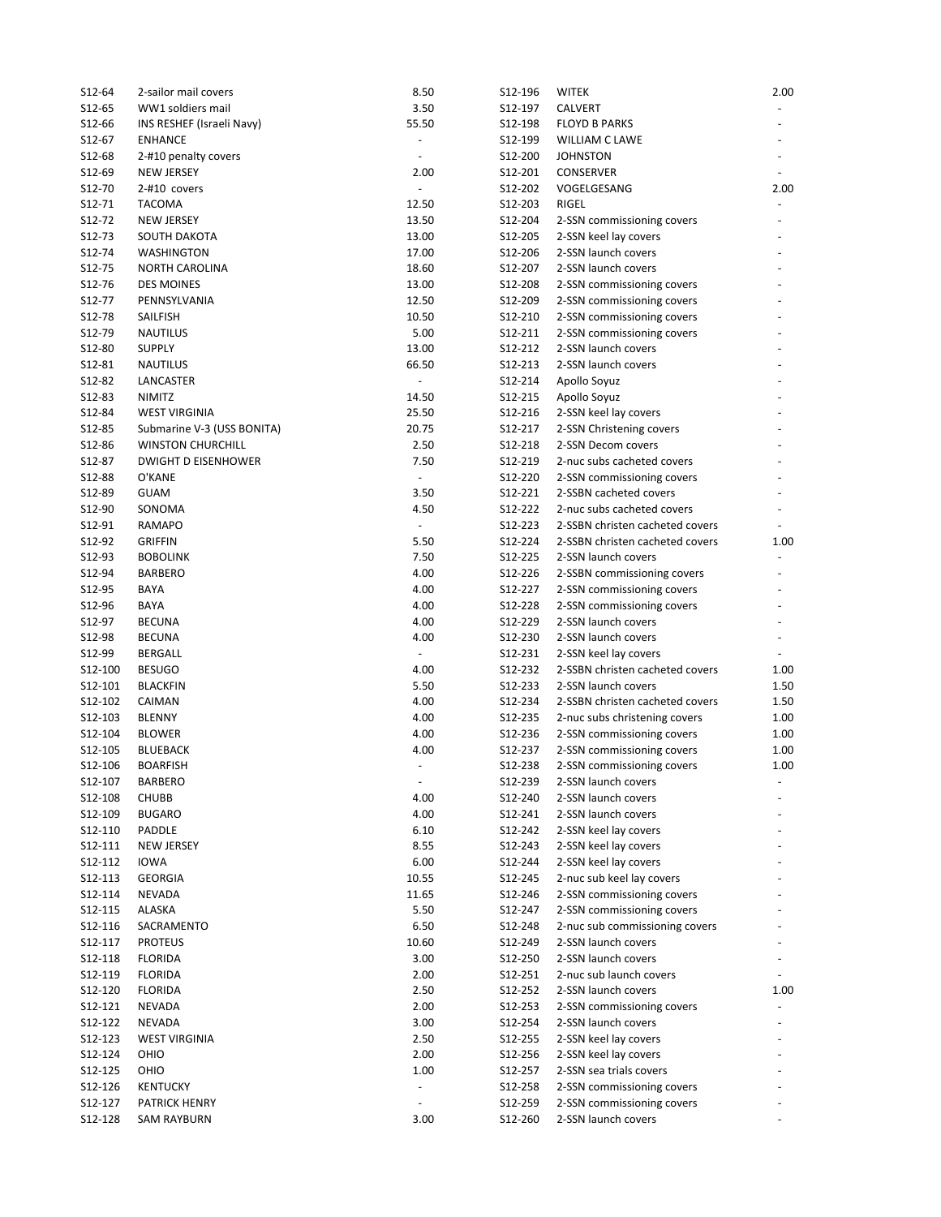| S12-64           | 2-sailor mail covers       | 8.50                     | S12-196            | <b>WITEK</b>                                      | 2.00 |
|------------------|----------------------------|--------------------------|--------------------|---------------------------------------------------|------|
| S12-65           | WW1 soldiers mail          | 3.50                     | S12-197            | CALVERT                                           |      |
| S12-66           | INS RESHEF (Israeli Navy)  | 55.50                    | S12-198            | <b>FLOYD B PARKS</b>                              |      |
| S12-67           | <b>ENHANCE</b>             | ÷,                       | S12-199            | WILLIAM C LAWE                                    |      |
| S12-68           | 2-#10 penalty covers       | ÷,                       | S12-200            | <b>JOHNSTON</b>                                   |      |
| S12-69           | <b>NEW JERSEY</b>          | 2.00                     | S12-201            | CONSERVER                                         |      |
| S12-70           | 2-#10 covers               | $\overline{a}$           | S12-202            | VOGELGESANG                                       | 2.00 |
| S12-71           | <b>TACOMA</b>              | 12.50                    | S12-203            | RIGEL                                             |      |
| S12-72           | NEW JERSEY                 | 13.50                    | S12-204            | 2-SSN commissioning covers                        |      |
| S12-73           | SOUTH DAKOTA               | 13.00                    | S12-205            | 2-SSN keel lay covers                             |      |
| S12-74           | WASHINGTON                 | 17.00                    | S12-206            | 2-SSN launch covers                               |      |
| S12-75           | <b>NORTH CAROLINA</b>      | 18.60                    | S12-207            | 2-SSN launch covers                               |      |
| S12-76           | <b>DES MOINES</b>          | 13.00                    | S12-208            | 2-SSN commissioning covers                        |      |
| S12-77           | PENNSYLVANIA               | 12.50                    | S12-209            | 2-SSN commissioning covers                        |      |
| S12-78           | SAILFISH                   | 10.50                    | S12-210            | 2-SSN commissioning covers                        |      |
| S12-79           | <b>NAUTILUS</b>            | 5.00                     | S12-211            | 2-SSN commissioning covers                        |      |
| S12-80           | <b>SUPPLY</b>              | 13.00                    | S12-212            | 2-SSN launch covers                               |      |
| S12-81           | NAUTILUS                   | 66.50                    | S12-213            | 2-SSN launch covers                               |      |
| S12-82           | LANCASTER                  | $\blacksquare$           | S12-214            | Apollo Soyuz                                      |      |
| S12-83           | <b>NIMITZ</b>              | 14.50                    | S12-215            | Apollo Soyuz                                      |      |
| S12-84           | <b>WEST VIRGINIA</b>       | 25.50                    | S12-216            | 2-SSN keel lay covers                             |      |
| S12-85           | Submarine V-3 (USS BONITA) | 20.75                    | S12-217            | 2-SSN Christening covers                          |      |
| S12-86           | <b>WINSTON CHURCHILL</b>   | 2.50                     | S12-218            | 2-SSN Decom covers                                |      |
| S12-87           | <b>DWIGHT D EISENHOWER</b> | 7.50                     | S12-219            | 2-nuc subs cacheted covers                        |      |
| S12-88           | O'KANE                     | $\Box$                   | S12-220            | 2-SSN commissioning covers                        |      |
| S12-89           | <b>GUAM</b>                | 3.50                     | S12-221            | 2-SSBN cacheted covers                            |      |
| S12-90           | SONOMA                     | 4.50                     | S12-222            | 2-nuc subs cacheted covers                        |      |
| S12-91           | <b>RAMAPO</b>              | $\blacksquare$           | S12-223            | 2-SSBN christen cacheted covers                   |      |
| S12-92           | <b>GRIFFIN</b>             | 5.50                     | S12-224            | 2-SSBN christen cacheted covers                   | 1.00 |
| S12-93           | <b>BOBOLINK</b>            | 7.50                     | S12-225            | 2-SSN launch covers                               |      |
| S12-94           | <b>BARBERO</b>             | 4.00                     | S12-226            | 2-SSBN commissioning covers                       |      |
| S12-95           | BAYA                       | 4.00                     | S12-227            | 2-SSN commissioning covers                        |      |
| S12-96<br>S12-97 | BAYA<br><b>BECUNA</b>      | 4.00<br>4.00             | S12-228<br>S12-229 | 2-SSN commissioning covers<br>2-SSN launch covers |      |
| S12-98           | <b>BECUNA</b>              | 4.00                     | S12-230            | 2-SSN launch covers                               |      |
| S12-99           | <b>BERGALL</b>             | $\blacksquare$           | S12-231            | 2-SSN keel lay covers                             |      |
| S12-100          | <b>BESUGO</b>              | 4.00                     | S12-232            | 2-SSBN christen cacheted covers                   | 1.00 |
| S12-101          | <b>BLACKFIN</b>            | 5.50                     | S12-233            | 2-SSN launch covers                               | 1.50 |
| S12-102          | CAIMAN                     | 4.00                     | S12-234            | 2-SSBN christen cacheted covers                   | 1.50 |
| S12-103          | <b>BLENNY</b>              | 4.00                     | S12-235            | 2-nuc subs christening covers                     | 1.00 |
| S12-104          | <b>BLOWER</b>              | 4.00                     | S12-236            | 2-SSN commissioning covers                        | 1.00 |
| S12-105          | <b>BLUEBACK</b>            | 4.00                     | S12-237            | 2-SSN commissioning covers                        | 1.00 |
| S12-106          | <b>BOARFISH</b>            | $\overline{\phantom{a}}$ | S12-238            | 2-SSN commissioning covers                        | 1.00 |
| S12-107          | BARBERO                    | $\blacksquare$           | S12-239            | 2-SSN launch covers                               |      |
| S12-108          | <b>CHUBB</b>               | 4.00                     | S12-240            | 2-SSN launch covers                               |      |
| S12-109          | <b>BUGARO</b>              | 4.00                     | S12-241            | 2-SSN launch covers                               |      |
| S12-110          | PADDLE                     | 6.10                     | S12-242            | 2-SSN keel lay covers                             |      |
| S12-111          | NEW JERSEY                 | 8.55                     | S12-243            | 2-SSN keel lay covers                             |      |
| S12-112          | IOWA                       | 6.00                     | S12-244            | 2-SSN keel lay covers                             |      |
| S12-113          | <b>GEORGIA</b>             | 10.55                    | S12-245            | 2-nuc sub keel lay covers                         |      |
| S12-114          | <b>NEVADA</b>              | 11.65                    | S12-246            | 2-SSN commissioning covers                        |      |
| S12-115          | ALASKA                     | 5.50                     | S12-247            | 2-SSN commissioning covers                        |      |
| S12-116          | SACRAMENTO                 | 6.50                     | S12-248            | 2-nuc sub commissioning covers                    |      |
| S12-117          | <b>PROTEUS</b>             | 10.60                    | S12-249            | 2-SSN launch covers                               |      |
| S12-118          | <b>FLORIDA</b>             | 3.00                     | S12-250            | 2-SSN launch covers                               |      |
| S12-119          | <b>FLORIDA</b>             | 2.00                     | S12-251            | 2-nuc sub launch covers                           |      |
| S12-120          | <b>FLORIDA</b>             | 2.50                     | S12-252            | 2-SSN launch covers                               | 1.00 |
| S12-121          | NEVADA                     | 2.00                     | S12-253            | 2-SSN commissioning covers                        |      |
| S12-122          | <b>NEVADA</b>              | 3.00                     | S12-254            | 2-SSN launch covers                               |      |
| S12-123          | <b>WEST VIRGINIA</b>       | 2.50                     | S12-255            | 2-SSN keel lay covers                             |      |
| S12-124          | OHIO                       | 2.00                     | S12-256            | 2-SSN keel lay covers                             |      |
| S12-125          | OHIO                       | 1.00                     | S12-257            | 2-SSN sea trials covers                           |      |
| S12-126          | KENTUCKY                   | $\blacksquare$           | S12-258            | 2-SSN commissioning covers                        |      |
| S12-127          | PATRICK HENRY              | ÷,                       | S12-259            | 2-SSN commissioning covers                        |      |
| S12-128          | SAM RAYBURN                | 3.00                     | S12-260            | 2-SSN launch covers                               |      |